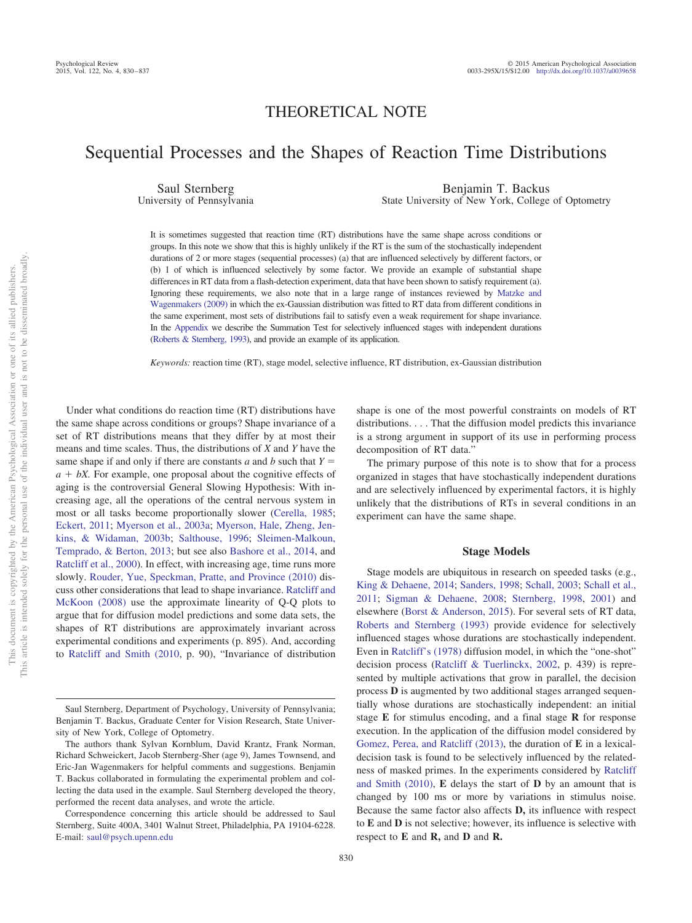# THEORETICAL NOTE

# Sequential Processes and the Shapes of Reaction Time Distributions

Saul Sternberg University of Pennsylvania

Benjamin T. Backus State University of New York, College of Optometry

It is sometimes suggested that reaction time (RT) distributions have the same shape across conditions or groups. In this note we show that this is highly unlikely if the RT is the sum of the stochastically independent durations of 2 or more stages (sequential processes) (a) that are influenced selectively by different factors, or (b) 1 of which is influenced selectively by some factor. We provide an example of substantial shape differences in RT data from a flash-detection experiment, data that have been shown to satisfy requirement (a). Ignoring these requirements, we also note that in a large range of instances reviewed by [Matzke and](#page-4-0) [Wagenmakers \(2009\)](#page-4-0) in which the ex-Gaussian distribution was fitted to RT data from different conditions in the same experiment, most sets of distributions fail to satisfy even a weak requirement for shape invariance. In the [Appendix](#page-6-0) we describe the Summation Test for selectively influenced stages with independent durations [\(Roberts & Sternberg, 1993\)](#page-5-0), and provide an example of its application.

*Keywords:* reaction time (RT), stage model, selective influence, RT distribution, ex-Gaussian distribution

Under what conditions do reaction time (RT) distributions have the same shape across conditions or groups? Shape invariance of a set of RT distributions means that they differ by at most their means and time scales. Thus, the distributions of *X* and *Y* have the same shape if and only if there are constants  $a$  and  $b$  such that  $Y =$  $a + bX$ . For example, one proposal about the cognitive effects of aging is the controversial General Slowing Hypothesis: With increasing age, all the operations of the central nervous system in most or all tasks become proportionally slower [\(Cerella, 1985;](#page-4-1) [Eckert, 2011;](#page-4-2) [Myerson et al., 2003a;](#page-5-1) [Myerson, Hale, Zheng, Jen](#page-5-2)[kins, & Widaman, 2003b;](#page-5-2) [Salthouse, 1996;](#page-5-3) [Sleimen-Malkoun,](#page-5-4) [Temprado, & Berton, 2013;](#page-5-4) but see also [Bashore et al., 2014,](#page-4-3) and [Ratcliff et al., 2000\)](#page-5-5). In effect, with increasing age, time runs more slowly. [Rouder, Yue, Speckman, Pratte, and Province \(2010\)](#page-5-6) discuss other considerations that lead to shape invariance. [Ratcliff and](#page-5-7) [McKoon \(2008\)](#page-5-7) use the approximate linearity of Q-Q plots to argue that for diffusion model predictions and some data sets, the shapes of RT distributions are approximately invariant across experimental conditions and experiments (p. 895). And, according to [Ratcliff and Smith \(2010,](#page-5-8) p. 90), "Invariance of distribution

shape is one of the most powerful constraints on models of RT distributions.... That the diffusion model predicts this invariance is a strong argument in support of its use in performing process decomposition of RT data."

The primary purpose of this note is to show that for a process organized in stages that have stochastically independent durations and are selectively influenced by experimental factors, it is highly unlikely that the distributions of RTs in several conditions in an experiment can have the same shape.

## **Stage Models**

Stage models are ubiquitous in research on speeded tasks (e.g., [King & Dehaene, 2014;](#page-4-4) [Sanders, 1998;](#page-5-9) [Schall, 2003;](#page-5-10) [Schall et al.,](#page-5-11) [2011;](#page-5-11) [Sigman & Dehaene, 2008;](#page-5-12) [Sternberg, 1998,](#page-5-13) [2001\)](#page-5-14) and elsewhere [\(Borst & Anderson, 2015\)](#page-4-5). For several sets of RT data, [Roberts and Sternberg \(1993\)](#page-5-0) provide evidence for selectively influenced stages whose durations are stochastically independent. Even in [Ratcliff's \(1978\)](#page-5-15) diffusion model, in which the "one-shot" decision process [\(Ratcliff & Tuerlinckx, 2002,](#page-5-16) p. 439) is represented by multiple activations that grow in parallel, the decision process **D** is augmented by two additional stages arranged sequentially whose durations are stochastically independent: an initial stage **E** for stimulus encoding, and a final stage **R** for response execution. In the application of the diffusion model considered by [Gomez, Perea, and Ratcliff \(2013\),](#page-4-6) the duration of **E** in a lexicaldecision task is found to be selectively influenced by the relatedness of masked primes. In the experiments considered by [Ratcliff](#page-5-8) [and Smith \(2010\),](#page-5-8) **E** delays the start of **D** by an amount that is changed by 100 ms or more by variations in stimulus noise. Because the same factor also affects **D,** its influence with respect to **E** and **D** is not selective; however, its influence is selective with respect to **E** and **R,** and **D** and **R.**

Saul Sternberg, Department of Psychology, University of Pennsylvania; Benjamin T. Backus, Graduate Center for Vision Research, State University of New York, College of Optometry.

The authors thank Sylvan Kornblum, David Krantz, Frank Norman, Richard Schweickert, Jacob Sternberg-Sher (age 9), James Townsend, and Eric-Jan Wagenmakers for helpful comments and suggestions. Benjamin T. Backus collaborated in formulating the experimental problem and collecting the data used in the example. Saul Sternberg developed the theory, performed the recent data analyses, and wrote the article.

Correspondence concerning this article should be addressed to Saul Sternberg, Suite 400A, 3401 Walnut Street, Philadelphia, PA 19104-6228. E-mail: [saul@psych.upenn.edu](mailto:saul@psych.upenn.edu)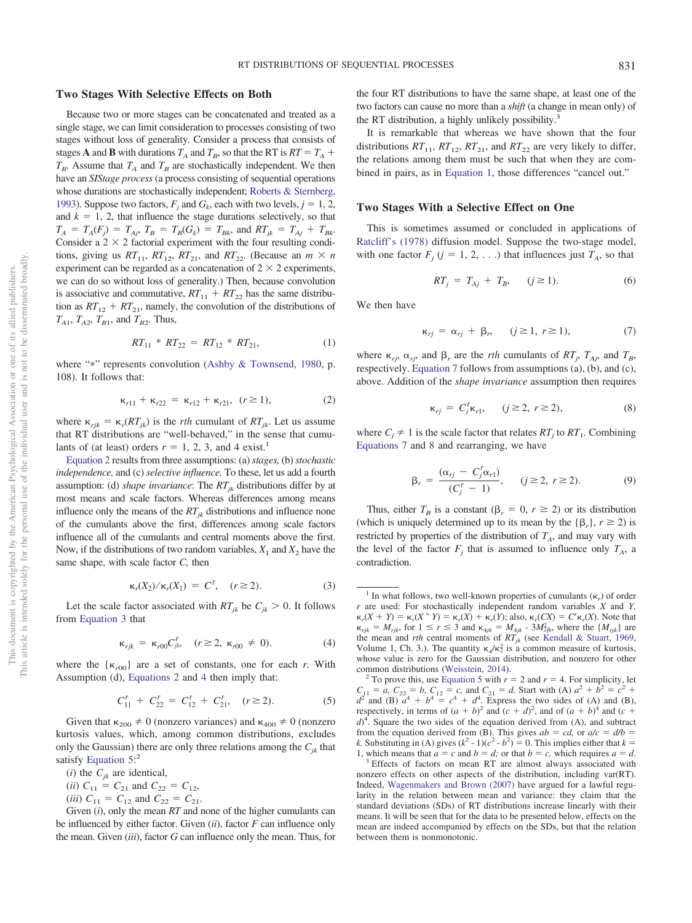## **Two Stages With Selective Effects on Both**

Because two or more stages can be concatenated and treated as a single stage, we can limit consideration to processes consisting of two stages without loss of generality. Consider a process that consists of stages **A** and **B** with durations  $T_A$  and  $T_B$ , so that the RT is  $RT = T_A + T_B$  $T_B$ . Assume that  $T_A$  and  $T_B$  are stochastically independent. We then have an *SIStage process* (a process consisting of sequential operations whose durations are stochastically independent; [Roberts & Sternberg,](#page-5-0) [1993\)](#page-5-0). Suppose two factors,  $F_j$  and  $G_k$ , each with two levels,  $j = 1, 2$ , and  $k = 1, 2$ , that influence the stage durations selectively, so that  $T_A = T_A(F_j) = T_{Aj}$ ,  $T_B = T_B(G_k) = T_{Bk}$ , and  $RT_{jk} = T_{Aj} + T_{Bk}$ . Consider a  $2 \times 2$  factorial experiment with the four resulting conditions, giving us  $RT_{11}$ ,  $RT_{12}$ ,  $RT_{21}$ , and  $RT_{22}$ . (Because an  $m \times n$ experiment can be regarded as a concatenation of  $2 \times 2$  experiments, we can do so without loss of generality.) Then, because convolution is associative and commutative,  $RT_{11} + RT_{22}$  has the same distribution as  $RT_{12} + RT_{21}$ , namely, the convolution of the distributions of  $T_{A1}$ ,  $T_{A2}$ ,  $T_{B1}$ , and  $T_{B2}$ . Thus,

$$
RT_{11} * RT_{22} = RT_{12} * RT_{21}, \t\t(1)
$$

<span id="page-1-4"></span>where "\*" represents convolution [\(Ashby & Townsend, 1980,](#page-4-7) p. 108). It follows that:

$$
\kappa_{r11} + \kappa_{r22} = \kappa_{r12} + \kappa_{r21}, \quad (r \ge 1), \tag{2}
$$

<span id="page-1-0"></span>where  $\kappa_{ijk} = \kappa_r (RT_{jk})$  is the *rth* cumulant of  $RT_{jk}$ . Let us assume that RT distributions are "well-behaved," in the sense that cumulants of (at least) orders  $r = 1, 2, 3$ , and 4 exist.<sup>1</sup>

[Equation 2](#page-1-0) results from three assumptions: (a)*stages,* (b)*stochastic independence,* and (c) *selective influence.* To these, let us add a fourth assumption: (d) *shape invariance*: The  $RT_{jk}$  distributions differ by at most means and scale factors. Whereas differences among means influence only the means of the  $RT_{jk}$  distributions and influence none of the cumulants above the first, differences among scale factors influence all of the cumulants and central moments above the first. Now, if the distributions of two random variables,  $X_1$  and  $X_2$  have the same shape, with scale factor *C,* then

$$
\kappa_r(X_2)/\kappa_r(X_1) = C^r, \quad (r \ge 2). \tag{3}
$$

<span id="page-1-1"></span>Let the scale factor associated with  $RT_{ik}$  be  $C_{ik} > 0$ . It follows from [Equation 3](#page-1-1) that

$$
\kappa_{rjk} = \kappa_{r00} C_{jk}^r, \quad (r \ge 2, \ \kappa_{r00} \neq 0). \tag{4}
$$

<span id="page-1-2"></span>where the  $\{\kappa_{r00}\}$  are a set of constants, one for each *r*. With Assumption (d), [Equations 2](#page-1-0) and [4](#page-1-2) then imply that:

$$
C_{11}^r + C_{22}^r = C_{12}^r + C_{21}^r, \quad (r \ge 2). \tag{5}
$$

<span id="page-1-3"></span>Given that  $\kappa_{200} \neq 0$  (nonzero variances) and  $\kappa_{400} \neq 0$  (nonzero kurtosis values, which, among common distributions, excludes only the Gaussian) there are only three relations among the  $C_{ik}$  that satisfy [Equation 5:](#page-1-3)<sup>2</sup>

(*i*) the  $C_{jk}$  are identical,

- (*ii*)  $C_{11} = C_{21}$  and  $C_{22} = C_{12}$ ,
- (*iii*)  $C_{11} = C_{12}$  and  $C_{22} = C_{21}$ .

Given (*i*), only the mean *RT* and none of the higher cumulants can be influenced by either factor. Given (*ii*), factor *F* can influence only the mean. Given (*iii*), factor *G* can influence only the mean. Thus, for the four RT distributions to have the same shape, at least one of the two factors can cause no more than a *shift* (a change in mean only) of the RT distribution, a highly unlikely possibility.<sup>3</sup>

It is remarkable that whereas we have shown that the four distributions  $RT_{11}$ ,  $RT_{12}$ ,  $RT_{21}$ , and  $RT_{22}$  are very likely to differ, the relations among them must be such that when they are combined in pairs, as in [Equation 1,](#page-1-4) those differences "cancel out."

#### **Two Stages With a Selective Effect on One**

This is sometimes assumed or concluded in applications of [Ratcliff's \(1978\)](#page-5-15) diffusion model. Suppose the two-stage model, with one factor  $F_j$  ( $j = 1, 2, \ldots$ ) that influences just  $T_A$ , so that

$$
RT_j = T_{Aj} + T_B, \qquad (j \ge 1). \tag{6}
$$

<span id="page-1-5"></span>We then have

$$
\kappa_{rj} = \alpha_{rj} + \beta_r, \quad (j \ge 1, r \ge 1), \tag{7}
$$

where  $\kappa_{rj}$ ,  $\alpha_{rj}$ , and  $\beta_r$  are the *rth* cumulants of  $RT_j$ ,  $T_{Aj}$ , and  $T_B$ , respectively. [Equation 7](#page-1-5) follows from assumptions (a), (b), and (c), above. Addition of the *shape invariance* assumption then requires

$$
\kappa_{rj} = C_j^r \kappa_{r1}, \qquad (j \ge 2, r \ge 2), \tag{8}
$$

<span id="page-1-6"></span>where  $C_i \neq 1$  is the scale factor that relates  $RT_i$  to  $RT_1$ . Combining [Equations 7](#page-1-5) and [8](#page-1-6) and rearranging, we have

$$
\beta_r = \frac{(\alpha_{rj} - C_j^r \alpha_{r1})}{(C_j^r - 1)}, \quad (j \ge 2, r \ge 2).
$$
 (9)

Thus, either  $T_B$  is a constant ( $\beta_r = 0$ ,  $r \ge 2$ ) or its distribution (which is uniquely determined up to its mean by the  $\{\beta_r\}, r \ge 2$ ) is restricted by properties of the distribution of  $T_A$ , and may vary with the level of the factor  $F_i$  that is assumed to influence only  $T_A$ , a contradiction.

 $C_{11} = a$ ,  $C_{22} = b$ ,  $C_{12} = c$ , and  $C_{21} = d$ . Start with (A)  $a^2 + b^2 = c^2 + c$  $d^2$  and (B)  $a^4 + b^4 = c^4 + d^4$ . Express the two sides of (A) and (B), respectively, in terms of  $(a + b)^2$  and  $(c + d)^2$ , and of  $(a + b)^4$  and  $(c + b)^4$  $d^{4}$ . Square the two sides of the equation derived from (A), and subtract from the equation derived from (B). This gives  $ab = cd$ , or  $a/c = d/b$ *k*. Substituting in (A) gives  $(k^2 - 1)(c^2 - b^2) = 0$ . This implies either that  $k =$ 1, which means that  $a = c$  and  $b = d$ ; or that  $b = c$ , which requires  $a =$ 

Effects of factors on mean RT are almost always associated with nonzero effects on other aspects of the distribution, including var(RT). Indeed, [Wagenmakers and Brown \(2007\)](#page-5-18) have argued for a lawful regularity in the relation between mean and variance: they claim that the standard deviations (SDs) of RT distributions increase linearly with their means. It will be seen that for the data to be presented below, effects on the mean are indeed accompanied by effects on the SDs, but that the relation between them is nonmonotonic.

<sup>&</sup>lt;sup>1</sup> In what follows, two well-known properties of cumulants  $(\kappa_r)$  of order *r* are used: For stochastically independent random variables *X* and *Y,*  $\kappa_r(X + Y) = \kappa_r(X^* Y) = \kappa_r(X) + \kappa_r(Y)$ ; also,  $\kappa_r(CX) = C^r \kappa_r(X)$ . Note that  $\kappa_{ijk} = M_{ijk}$ , for  $1 \le r \le 3$  and  $\kappa_{4jk} = M_{4jk}$  -  $3M_{2jk}^2$ , where the  $\{M_{rjk}\}$  are the mean and *rth* central moments of  $RT_{jk}$  (see [Kendall & Stuart, 1969,](#page-4-8) Volume 1, Ch. 3.). The quantity  $\kappa_4/\kappa_2^2$  is a common measure of kurtosis, whose value is zero for the Gaussian distribution, and nonzero for other common distributions [\(Weisstein, 2014\)](#page-5-17).<br><sup>2</sup> To prove this, use [Equation 5](#page-1-3) with  $r = 2$  and  $r = 4$ . For simplicity, let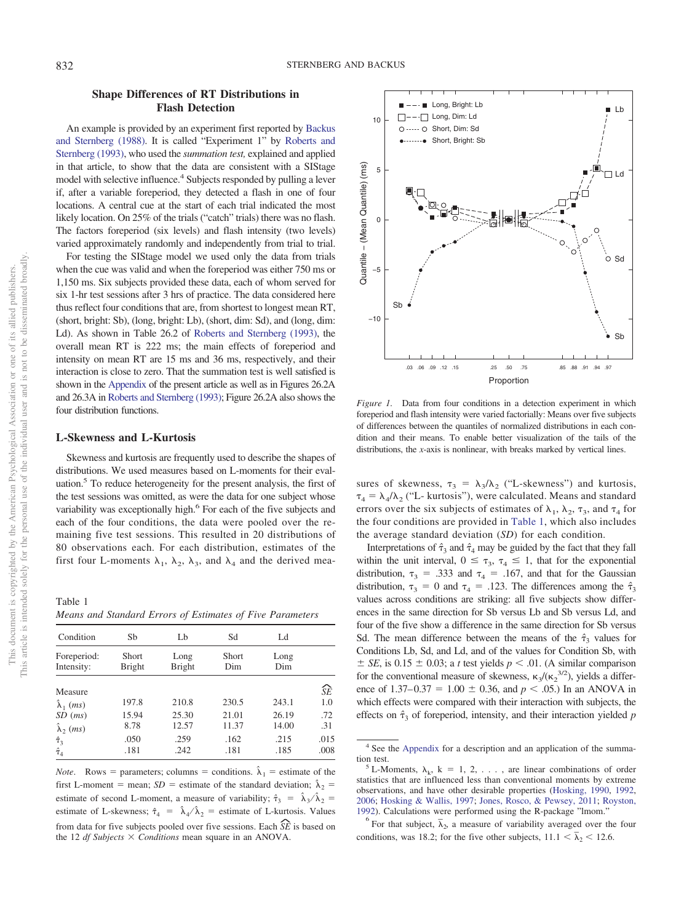# **Shape Differences of RT Distributions in Flash Detection**

An example is provided by an experiment first reported by [Backus](#page-4-9) [and Sternberg \(1988\).](#page-4-9) It is called "Experiment 1" by [Roberts and](#page-5-0) [Sternberg \(1993\),](#page-5-0) who used the *summation test,* explained and applied in that article, to show that the data are consistent with a SIStage model with selective influence.<sup>4</sup> Subjects responded by pulling a lever if, after a variable foreperiod, they detected a flash in one of four locations. A central cue at the start of each trial indicated the most likely location. On 25% of the trials ("catch" trials) there was no flash. The factors foreperiod (six levels) and flash intensity (two levels) varied approximately randomly and independently from trial to trial.

For testing the SIStage model we used only the data from trials when the cue was valid and when the foreperiod was either 750 ms or 1,150 ms. Six subjects provided these data, each of whom served for six 1-hr test sessions after 3 hrs of practice. The data considered here thus reflect four conditions that are, from shortest to longest mean RT, (short, bright: Sb), (long, bright: Lb), (short, dim: Sd), and (long, dim: Ld). As shown in Table 26.2 of [Roberts and Sternberg \(1993\),](#page-5-0) the overall mean RT is 222 ms; the main effects of foreperiod and intensity on mean RT are 15 ms and 36 ms, respectively, and their interaction is close to zero. That the summation test is well satisfied is shown in the [Appendix](#page-6-0) of the present article as well as in Figures 26.2A and 26.3A in [Roberts and Sternberg \(1993\);](#page-5-0) Figure 26.2A also shows the four distribution functions.

## **L-Skewness and L-Kurtosis**

Skewness and kurtosis are frequently used to describe the shapes of distributions. We used measures based on L-moments for their evaluation.5 To reduce heterogeneity for the present analysis, the first of the test sessions was omitted, as were the data for one subject whose variability was exceptionally high.<sup>6</sup> For each of the five subjects and each of the four conditions, the data were pooled over the remaining five test sessions. This resulted in 20 distributions of 80 observations each. For each distribution, estimates of the first four L-moments  $\lambda_1$ ,  $\lambda_2$ ,  $\lambda_3$ , and  $\lambda_4$  and the derived mea-

<span id="page-2-0"></span>Table 1 *Means and Standard Errors of Estimates of Five Parameters*

| Condition                       | Sb                            | Lb                    | Sd           | Ld          |      |
|---------------------------------|-------------------------------|-----------------------|--------------|-------------|------|
| Foreperiod:<br>Intensity:       | <b>Short</b><br><b>Bright</b> | Long<br><b>Bright</b> | Short<br>Dim | Long<br>Dim |      |
| Measure                         |                               |                       |              |             | ŝΈ   |
| $\hat{\lambda}_1$ ( <i>ms</i> ) | 197.8                         | 210.8                 | 230.5        | 243.1       | 1.0  |
| $SD$ $(ms)$                     | 15.94                         | 25.30                 | 21.01        | 26.19       | .72  |
| $\hat{\lambda}_2$ (ms)          | 8.78                          | 12.57                 | 11.37        | 14.00       | .31  |
| $\hat{\tau}_3$                  | .050                          | .259                  | .162         | .215        | .015 |
| $\hat{\tau}_4$                  | .181                          | .242                  | .181         | .185        | .008 |

*Note*. Rows = parameters; columns = conditions.  $\hat{\lambda}_1$  = estimate of the first L-moment = mean;  $SD$  = estimate of the standard deviation;  $\hat{\lambda}_2$  = estimate of second L-moment, a measure of variability;  $\hat{\tau}_3 = \hat{\lambda}_3 / \hat{\lambda}_2 =$ estimate of L-skewness;  $\hat{\tau}_4 = \hat{\lambda}_4 / \hat{\lambda}_2$  = estimate of L-kurtosis. Values from data for five subjects pooled over five sessions. Each *SE^* is based on the 12 *df Subjects*  $\times$  *Conditions* mean square in an ANOVA.



<span id="page-2-1"></span>*Figure 1.* Data from four conditions in a detection experiment in which foreperiod and flash intensity were varied factorially: Means over five subjects of differences between the quantiles of normalized distributions in each condition and their means. To enable better visualization of the tails of the distributions, the *x*-axis is nonlinear, with breaks marked by vertical lines.

sures of skewness,  $\tau_3 = \lambda_3/\lambda_2$  ("L-skewness") and kurtosis,  $\tau_4 = \lambda_4/\lambda_2$  ("L- kurtosis"), were calculated. Means and standard errors over the six subjects of estimates of  $\lambda_1$ ,  $\lambda_2$ ,  $\tau_3$ , and  $\tau_4$  for the four conditions are provided in [Table 1,](#page-2-0) which also includes the average standard deviation (*SD*) for each condition.

Interpretations of  $\hat{\tau}_3$  and  $\hat{\tau}_4$  may be guided by the fact that they fall within the unit interval,  $0 \le \tau_3$ ,  $\tau_4 \le 1$ , that for the exponential distribution,  $\tau_3 = .333$  and  $\tau_4 = .167$ , and that for the Gaussian distribution,  $\tau_3 = 0$  and  $\tau_4 = .123$ . The differences among the  $\hat{\tau}_3$ values across conditions are striking: all five subjects show differences in the same direction for Sb versus Lb and Sb versus Ld, and four of the five show a difference in the same direction for Sb versus Sd. The mean difference between the means of the  $\hat{\tau}_3$  values for Conditions Lb, Sd, and Ld, and of the values for Condition Sb, with  $\pm$  *SE*, is 0.15  $\pm$  0.03; a *t* test yields *p*  $\lt$  0.01. (A similar comparison for the conventional measure of skewness,  $\kappa_3/(\kappa_2^{3/2})$ , yields a difference of  $1.37-0.37 = 1.00 \pm 0.36$ , and  $p < .05$ .) In an ANOVA in which effects were compared with their interaction with subjects, the effects on  $\hat{\tau}_3$  of foreperiod, intensity, and their interaction yielded  $p$ 

<sup>4</sup> See the [Appendix](#page-6-0) for a description and an application of the summa-

tion test.<br><sup>5</sup> L-Moments,  $\lambda_k$ , k = 1, 2, ..., are linear combinations of order statistics that are influenced less than conventional moments by extreme observations, and have other desirable properties [\(Hosking, 1990,](#page-4-10) [1992,](#page-4-11) [2006;](#page-4-12) [Hosking & Wallis, 1997;](#page-4-13) [Jones, Rosco, & Pewsey, 2011;](#page-4-14) [Royston,](#page-5-19) [1992\)](#page-5-19). Calculations were performed using the R-package "lmom." <sup>6</sup>

For that subject,  $\overline{\lambda}_2$ , a measure of variability averaged over the four conditions, was 18.2; for the five other subjects,  $11.1 < \bar{\lambda}_2 < 12.6$ .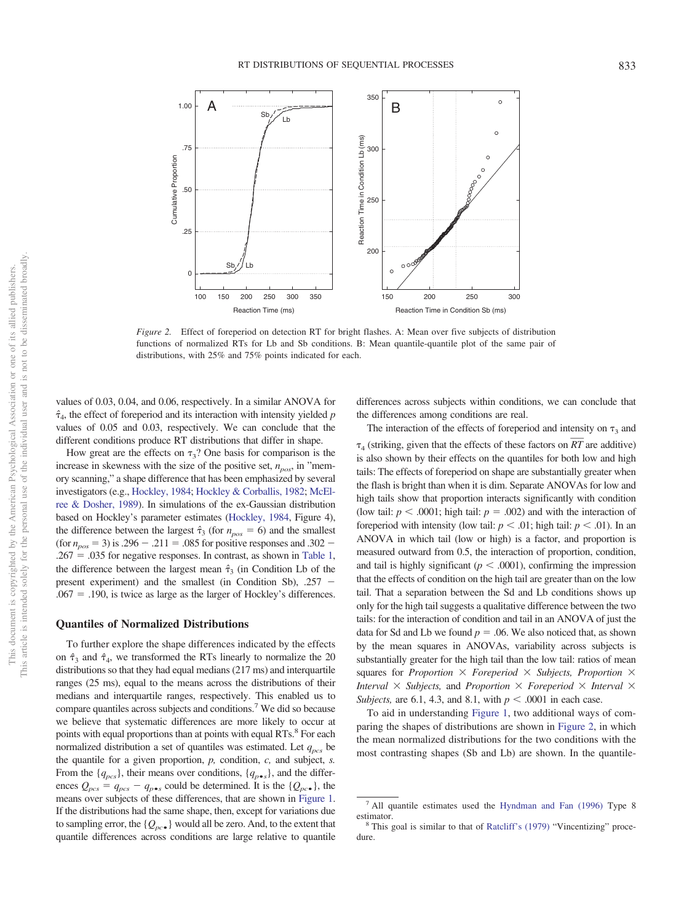



<span id="page-3-0"></span>*Figure 2.* Effect of foreperiod on detection RT for bright flashes. A: Mean over five subjects of distribution functions of normalized RTs for Lb and Sb conditions. B: Mean quantile-quantile plot of the same pair of distributions, with 25% and 75% points indicated for each.

values of 0.03, 0.04, and 0.06, respectively. In a similar ANOVA for  $\hat{\tau}_4$ , the effect of foreperiod and its interaction with intensity yielded *p* values of 0.05 and 0.03, respectively. We can conclude that the different conditions produce RT distributions that differ in shape.

How great are the effects on  $\tau_3$ ? One basis for comparison is the increase in skewness with the size of the positive set,  $n_{pos}$ , in "memory scanning," a shape difference that has been emphasized by several investigators (e.g., [Hockley, 1984;](#page-4-15) [Hockley & Corballis, 1982;](#page-4-16) [McEl](#page-5-20)[ree & Dosher, 1989\)](#page-5-20). In simulations of the ex-Gaussian distribution based on Hockley's parameter estimates [\(Hockley, 1984,](#page-4-15) Figure 4), the difference between the largest  $\hat{\tau}_3$  (for  $n_{pos} = 6$ ) and the smallest (for  $n_{pos} = 3$ ) is .296 - .211 = .085 for positive responses and .302 - $.267 = .035$  for negative responses. In contrast, as shown in [Table 1,](#page-2-0) the difference between the largest mean *ˆ* <sup>3</sup> (in Condition Lb of the present experiment) and the smallest (in Condition Sb),  $.257 .067 = .190$ , is twice as large as the larger of Hockley's differences.

#### **Quantiles of Normalized Distributions**

To further explore the shape differences indicated by the effects on  $\hat{\tau}_3$  and  $\hat{\tau}_4$ , we transformed the RTs linearly to normalize the 20 distributions so that they had equal medians (217 ms) and interquartile ranges (25 ms), equal to the means across the distributions of their medians and interquartile ranges, respectively. This enabled us to compare quantiles across subjects and conditions.7 We did so because we believe that systematic differences are more likely to occur at points with equal proportions than at points with equal RTs.<sup>8</sup> For each normalized distribution a set of quantiles was estimated. Let  $q_{\text{pcs}}$  be the quantile for a given proportion, *p,* condition, *c,* and subject, *s.* From the  ${q_{pcs}}$ , their means over conditions,  ${q_{p\bullet s}}$ , and the differences  $Q_{pcs} = q_{pcs} - q_{p\bullet s}$  could be determined. It is the  $\{Q_{pcs}\}\$ , the means over subjects of these differences, that are shown in [Figure 1.](#page-2-1) If the distributions had the same shape, then, except for variations due to sampling error, the  ${Q_{p,c}}$  would all be zero. And, to the extent that quantile differences across conditions are large relative to quantile differences across subjects within conditions, we can conclude that the differences among conditions are real.

The interaction of the effects of foreperiod and intensity on  $\tau_3$  and  $\tau_4$  (striking, given that the effects of these factors on  $\overline{RT}$  are additive)  $\tau_A$  (striking, given that the effects of these factors on RT are additive) is also shown by their effects on the quantiles for both low and high tails: The effects of foreperiod on shape are substantially greater when the flash is bright than when it is dim. Separate ANOVAs for low and high tails show that proportion interacts significantly with condition (low tail:  $p \leq 0.0001$ ; high tail:  $p = 0.002$ ) and with the interaction of fore period with intensity (low tail:  $p < .01$ ; high tail:  $p < .01$ ). In an ANOVA in which tail (low or high) is a factor, and proportion is measured outward from 0.5, the interaction of proportion, condition, and tail is highly significant ( $p < .0001$ ), confirming the impression that the effects of condition on the high tail are greater than on the low tail. That a separation between the Sd and Lb conditions shows up only for the high tail suggests a qualitative difference between the two tails: for the interaction of condition and tail in an ANOVA of just the data for Sd and Lb we found  $p = 0.06$ . We also noticed that, as shown by the mean squares in ANOVAs, variability across subjects is substantially greater for the high tail than the low tail: ratios of mean squares for *Proportion Foreperiod Subjects, Proportion Interval*  $\times$  *Subjects,* and *Proportion*  $\times$  *Foreperiod*  $\times$  *Interval*  $\times$ *Subjects*, are 6.1, 4.3, and 8.1, with  $p < .0001$  in each case.

To aid in understanding [Figure 1,](#page-2-1) two additional ways of comparing the shapes of distributions are shown in [Figure 2,](#page-3-0) in which the mean normalized distributions for the two conditions with the most contrasting shapes (Sb and Lb) are shown. In the quantile-

<sup>7</sup> All quantile estimates used the [Hyndman and Fan \(1996\)](#page-4-17) Type 8 estimator. <sup>8</sup> This goal is similar to that of [Ratcliff's \(1979\)](#page-5-21) "Vincentizing" proce-

dure.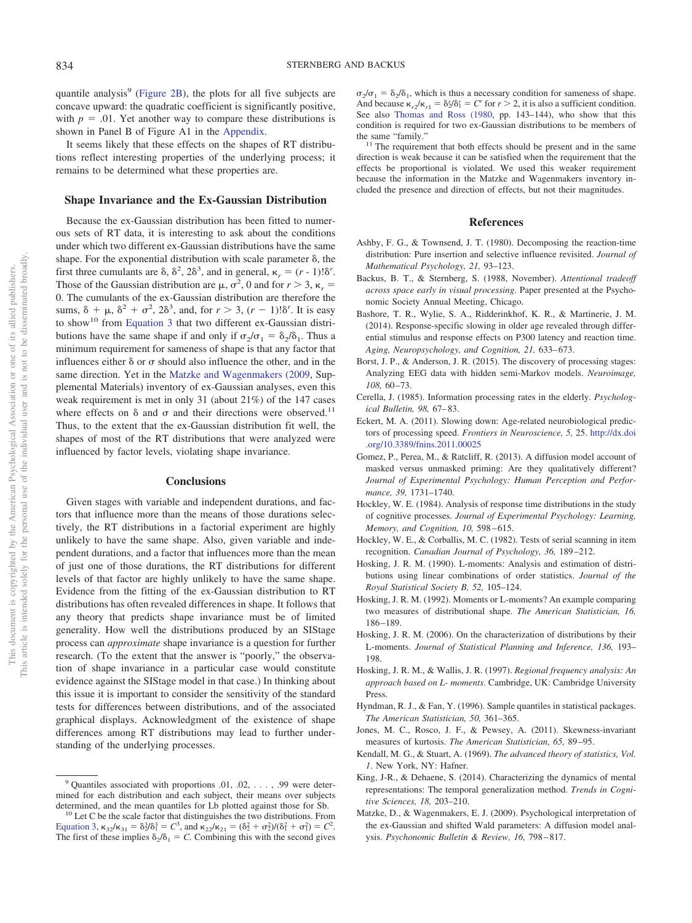quantile analysis $<sup>9</sup>$  [\(Figure 2B\)](#page-3-0), the plots for all five subjects are</sup> concave upward: the quadratic coefficient is significantly positive, with  $p = 0.01$ . Yet another way to compare these distributions is shown in Panel B of Figure A1 in the [Appendix.](#page-6-0)

It seems likely that these effects on the shapes of RT distributions reflect interesting properties of the underlying process; it remains to be determined what these properties are.

#### **Shape Invariance and the Ex-Gaussian Distribution**

Because the ex-Gaussian distribution has been fitted to numerous sets of RT data, it is interesting to ask about the conditions under which two different ex-Gaussian distributions have the same shape. For the exponential distribution with scale parameter  $\delta$ , the first three cumulants are  $\delta$ ,  $\delta^2$ ,  $2\delta^3$ , and in general,  $\kappa_r = (r - 1)!\delta^r$ . Those of the Gaussian distribution are  $\mu$ ,  $\sigma^2$ , 0 and for  $r > 3$ ,  $\kappa_r =$ 0. The cumulants of the ex-Gaussian distribution are therefore the sums,  $\delta + \mu$ ,  $\delta^2 + \sigma^2$ ,  $2\delta^3$ , and, for  $r > 3$ ,  $(r - 1)$ ! $\delta^r$ . It is easy to show<sup>10</sup> from [Equation 3](#page-1-1) that two different ex-Gaussian distributions have the same shape if and only if  $\sigma_2/\sigma_1 = \delta_2/\delta_1$ . Thus a minimum requirement for sameness of shape is that any factor that influences either  $\delta$  or  $\sigma$  should also influence the other, and in the same direction. Yet in the [Matzke and Wagenmakers \(2009,](#page-4-0) Supplemental Materials) inventory of ex-Gaussian analyses, even this weak requirement is met in only 31 (about 21%) of the 147 cases where effects on  $\delta$  and  $\sigma$  and their directions were observed.<sup>11</sup> Thus, to the extent that the ex-Gaussian distribution fit well, the shapes of most of the RT distributions that were analyzed were influenced by factor levels, violating shape invariance.

### **Conclusions**

Given stages with variable and independent durations, and factors that influence more than the means of those durations selectively, the RT distributions in a factorial experiment are highly unlikely to have the same shape. Also, given variable and independent durations, and a factor that influences more than the mean of just one of those durations, the RT distributions for different levels of that factor are highly unlikely to have the same shape. Evidence from the fitting of the ex-Gaussian distribution to RT distributions has often revealed differences in shape. It follows that any theory that predicts shape invariance must be of limited generality. How well the distributions produced by an SIStage process can *approximate* shape invariance is a question for further research. (To the extent that the answer is "poorly," the observation of shape invariance in a particular case would constitute evidence against the SIStage model in that case.) In thinking about this issue it is important to consider the sensitivity of the standard tests for differences between distributions, and of the associated graphical displays. Acknowledgment of the existence of shape differences among RT distributions may lead to further understanding of the underlying processes.

 $\sigma_2/\sigma_1 = \delta_2/\delta_1$ , which is thus a necessary condition for sameness of shape. And because  $\kappa_{r2}/\kappa_{r1} = \delta_2^r/\delta_1^r = C^r$  for  $r > 2$ , it is also a sufficient condition. See also [Thomas and Ross \(1980,](#page-5-22) pp. 143–144), who show that this condition is required for two ex-Gaussian distributions to be members of

the same "family."  $11$  The requirement that both effects should be present and in the same direction is weak because it can be satisfied when the requirement that the effects be proportional is violated. We used this weaker requirement because the information in the Matzke and Wagenmakers inventory included the presence and direction of effects, but not their magnitudes.

## **References**

- <span id="page-4-7"></span>Ashby, F. G., & Townsend, J. T. (1980). Decomposing the reaction-time distribution: Pure insertion and selective influence revisited. *Journal of Mathematical Psychology, 21,* 93–123.
- <span id="page-4-9"></span>Backus, B. T., & Sternberg, S. (1988, November). *Attentional tradeoff across space early in visual processing*. Paper presented at the Psychonomic Society Annual Meeting, Chicago.
- <span id="page-4-3"></span>Bashore, T. R., Wylie, S. A., Ridderinkhof, K. R., & Martinerie, J. M. (2014). Response-specific slowing in older age revealed through differential stimulus and response effects on P300 latency and reaction time. *Aging, Neuropsychology, and Cognition, 21,* 633–673.
- <span id="page-4-5"></span>Borst, J. P., & Anderson, J. R. (2015). The discovery of processing stages: Analyzing EEG data with hidden semi-Markov models. *Neuroimage, 108,* 60–73.
- <span id="page-4-1"></span>Cerella, J. (1985). Information processing rates in the elderly. *Psychological Bulletin, 98,* 67–83.
- <span id="page-4-2"></span>Eckert, M. A. (2011). Slowing down: Age-related neurobiological predictors of processing speed. *Frontiers in Neuroscience, 5,* 25. [http://dx.doi](http://dx.doi.org/10.3389/fnins.2011.00025) [.org/10.3389/fnins.2011.00025](http://dx.doi.org/10.3389/fnins.2011.00025)
- <span id="page-4-6"></span>Gomez, P., Perea, M., & Ratcliff, R. (2013). A diffusion model account of masked versus unmasked priming: Are they qualitatively different? *Journal of Experimental Psychology: Human Perception and Performance, 39,* 1731–1740.
- <span id="page-4-15"></span>Hockley, W. E. (1984). Analysis of response time distributions in the study of cognitive processes. *Journal of Experimental Psychology: Learning, Memory, and Cognition, 10,* 598–615.
- <span id="page-4-16"></span>Hockley, W. E., & Corballis, M. C. (1982). Tests of serial scanning in item recognition. *Canadian Journal of Psychology, 36,* 189–212.
- <span id="page-4-10"></span>Hosking, J. R. M. (1990). L-moments: Analysis and estimation of distributions using linear combinations of order statistics. *Journal of the Royal Statistical Society B, 52,* 105–124.
- <span id="page-4-11"></span>Hosking, J. R. M. (1992). Moments or L-moments? An example comparing two measures of distributional shape. *The American Statistician, 16,* 186–189.
- <span id="page-4-12"></span>Hosking, J. R. M. (2006). On the characterization of distributions by their L-moments. *Journal of Statistical Planning and Inference, 136,* 193– 198.
- <span id="page-4-13"></span>Hosking, J. R. M., & Wallis, J. R. (1997). *Regional frequency analysis: An approach based on L- moments*. Cambridge, UK: Cambridge University Press.
- <span id="page-4-17"></span>Hyndman, R. J., & Fan, Y. (1996). Sample quantiles in statistical packages. *The American Statistician, 50,* 361–365.
- <span id="page-4-14"></span>Jones, M. C., Rosco, J. F., & Pewsey, A. (2011). Skewness-invariant measures of kurtosis. *The American Statistician, 65,* 89–95.
- <span id="page-4-8"></span>Kendall, M. G., & Stuart, A. (1969). *The advanced theory of statistics, Vol. 1*. New York, NY: Hafner.
- <span id="page-4-4"></span>King, J-R., & Dehaene, S. (2014). Characterizing the dynamics of mental representations: The temporal generalization method. *Trends in Cognitive Sciences, 18,* 203–210.
- <span id="page-4-0"></span>Matzke, D., & Wagenmakers, E. J. (2009). Psychological interpretation of the ex-Gaussian and shifted Wald parameters: A diffusion model analysis. *Psychonomic Bulletin & Review, 16,* 798–817.

 $9$  Quantiles associated with proportions .01, .02, ..., .99 were determined for each distribution and each subject, their means over subjects determined, and the mean quantiles for Lb plotted against those for Sb.

 $10$  Let C be the scale factor that distinguishes the two distributions. From [Equation 3,](#page-1-1)  $\kappa_{32}/\kappa_{31} = \delta_2^3/\delta_1^3 = C^3$ , and  $\kappa_{22}/\kappa_{21} = (\delta_2^2 + \sigma_2^2)/(\delta_1^2 + \sigma_1^2) = C^2$ . The first of these implies  $\delta_2/\delta_1 = C$ . Combining this with the second gives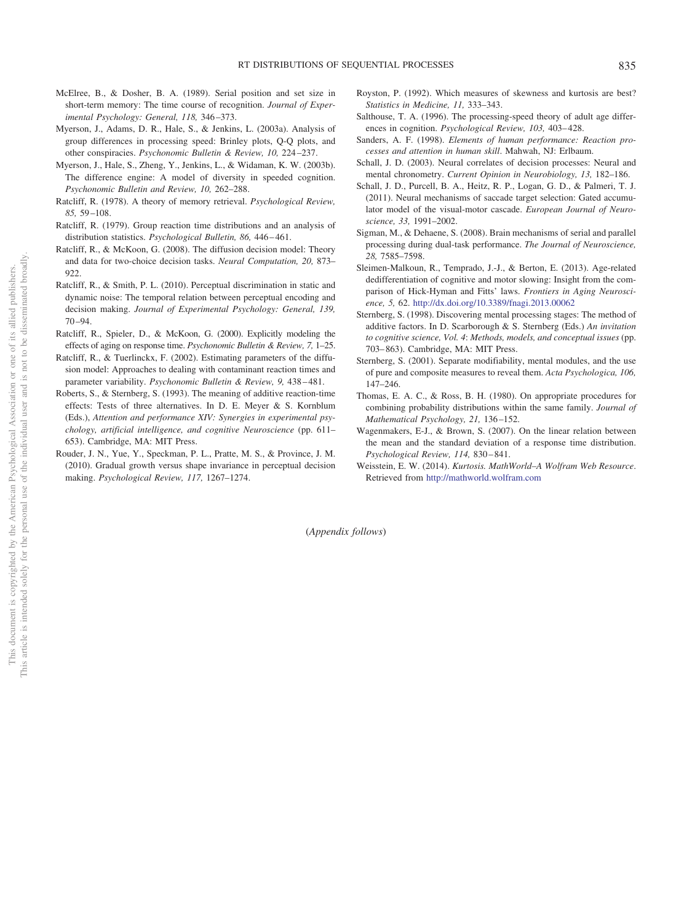- <span id="page-5-20"></span>McElree, B., & Dosher, B. A. (1989). Serial position and set size in short-term memory: The time course of recognition. *Journal of Experimental Psychology: General, 118,* 346–373.
- <span id="page-5-1"></span>Myerson, J., Adams, D. R., Hale, S., & Jenkins, L. (2003a). Analysis of group differences in processing speed: Brinley plots, Q-Q plots, and other conspiracies. *Psychonomic Bulletin & Review, 10,* 224–237.
- <span id="page-5-2"></span>Myerson, J., Hale, S., Zheng, Y., Jenkins, L., & Widaman, K. W. (2003b). The difference engine: A model of diversity in speeded cognition. *Psychonomic Bulletin and Review, 10,* 262–288.
- <span id="page-5-15"></span>Ratcliff, R. (1978). A theory of memory retrieval. *Psychological Review, 85,* 59–108.
- <span id="page-5-21"></span>Ratcliff, R. (1979). Group reaction time distributions and an analysis of distribution statistics. *Psychological Bulletin, 86,* 446–461.
- <span id="page-5-7"></span>Ratcliff, R., & McKoon, G. (2008). The diffusion decision model: Theory and data for two-choice decision tasks. *Neural Computation, 20,* 873–  $922$
- <span id="page-5-8"></span>Ratcliff, R., & Smith, P. L. (2010). Perceptual discrimination in static and dynamic noise: The temporal relation between perceptual encoding and decision making. *Journal of Experimental Psychology: General, 139,* 70–94.
- <span id="page-5-5"></span>Ratcliff, R., Spieler, D., & McKoon, G. (2000). Explicitly modeling the effects of aging on response time. *Psychonomic Bulletin & Review, 7,* 1–25.
- <span id="page-5-16"></span>Ratcliff, R., & Tuerlinckx, F. (2002). Estimating parameters of the diffusion model: Approaches to dealing with contaminant reaction times and parameter variability. *Psychonomic Bulletin & Review, 9,* 438–481.
- <span id="page-5-0"></span>Roberts, S., & Sternberg, S. (1993). The meaning of additive reaction-time effects: Tests of three alternatives. In D. E. Meyer & S. Kornblum (Eds.), *Attention and performance XIV: Synergies in experimental psychology, artificial intelligence, and cognitive Neuroscience* (pp. 611– 653). Cambridge, MA: MIT Press.
- <span id="page-5-6"></span>Rouder, J. N., Yue, Y., Speckman, P. L., Pratte, M. S., & Province, J. M. (2010). Gradual growth versus shape invariance in perceptual decision making. *Psychological Review, 117,* 1267–1274.
- <span id="page-5-19"></span>Royston, P. (1992). Which measures of skewness and kurtosis are best? *Statistics in Medicine, 11,* 333–343.
- <span id="page-5-3"></span>Salthouse, T. A. (1996). The processing-speed theory of adult age differences in cognition. *Psychological Review, 103,* 403–428.
- <span id="page-5-9"></span>Sanders, A. F. (1998). *Elements of human performance: Reaction processes and attention in human skill*. Mahwah, NJ: Erlbaum.
- <span id="page-5-10"></span>Schall, J. D. (2003). Neural correlates of decision processes: Neural and mental chronometry. *Current Opinion in Neurobiology, 13,* 182–186.
- <span id="page-5-11"></span>Schall, J. D., Purcell, B. A., Heitz, R. P., Logan, G. D., & Palmeri, T. J. (2011). Neural mechanisms of saccade target selection: Gated accumulator model of the visual-motor cascade. *European Journal of Neuroscience, 33,* 1991–2002.
- <span id="page-5-12"></span>Sigman, M., & Dehaene, S. (2008). Brain mechanisms of serial and parallel processing during dual-task performance. *The Journal of Neuroscience, 28,* 7585–7598.
- <span id="page-5-4"></span>Sleimen-Malkoun, R., Temprado, J.-J., & Berton, E. (2013). Age-related dedifferentiation of cognitive and motor slowing: Insight from the comparison of Hick-Hyman and Fitts' laws. *Frontiers in Aging Neuroscience, 5,* 62. <http://dx.doi.org/10.3389/fnagi.2013.00062>
- <span id="page-5-13"></span>Sternberg, S. (1998). Discovering mental processing stages: The method of additive factors. In D. Scarborough & S. Sternberg (Eds.) *An invitation to cognitive science, Vol. 4*: *Methods, models, and conceptual issues* (pp. 703–863). Cambridge, MA: MIT Press.
- <span id="page-5-14"></span>Sternberg, S. (2001). Separate modifiability, mental modules, and the use of pure and composite measures to reveal them. *Acta Psychologica, 106,* 147–246.
- <span id="page-5-22"></span>Thomas, E. A. C., & Ross, B. H. (1980). On appropriate procedures for combining probability distributions within the same family. *Journal of Mathematical Psychology, 21,* 136–152.
- <span id="page-5-18"></span>Wagenmakers, E-J., & Brown, S. (2007). On the linear relation between the mean and the standard deviation of a response time distribution. *Psychological Review, 114,* 830–841.
- <span id="page-5-17"></span>Weisstein, E. W. (2014). *Kurtosis. MathWorld–A Wolfram Web Resource*. Retrieved from <http://mathworld.wolfram.com>

(*Appendix follows*)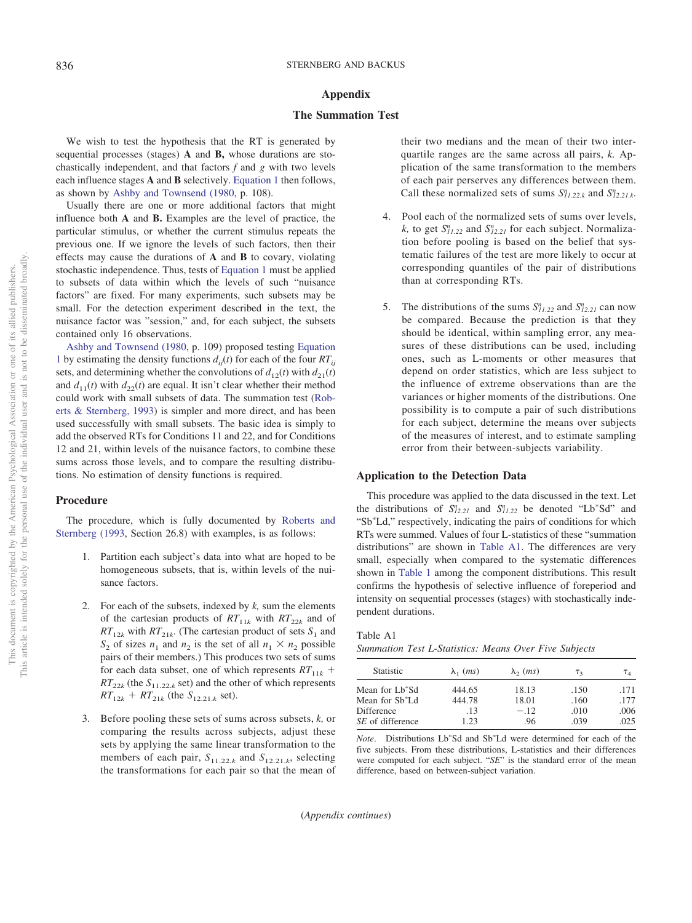## <span id="page-6-0"></span>**Appendix**

# **The Summation Test**

We wish to test the hypothesis that the RT is generated by sequential processes (stages) **A** and **B,** whose durations are stochastically independent, and that factors *f* and *g* with two levels each influence stages **A** and **B** selectively. [Equation 1](#page-1-4) then follows, as shown by [Ashby and Townsend \(1980,](#page-4-7) p. 108).

Usually there are one or more additional factors that might influence both **A** and **B.** Examples are the level of practice, the particular stimulus, or whether the current stimulus repeats the previous one. If we ignore the levels of such factors, then their effects may cause the durations of **A** and **B** to covary, violating stochastic independence. Thus, tests of [Equation 1](#page-1-4) must be applied to subsets of data within which the levels of such "nuisance factors" are fixed. For many experiments, such subsets may be small. For the detection experiment described in the text, the nuisance factor was "session," and, for each subject, the subsets contained only 16 observations.

[Ashby and Townsend \(1980,](#page-4-7) p. 109) proposed testing [Equation](#page-1-4) [1](#page-1-4) by estimating the density functions  $d_{ij}(t)$  for each of the four  $RT_{ij}$ sets, and determining whether the convolutions of  $d_{12}(t)$  with  $d_{21}(t)$ and  $d_{11}(t)$  with  $d_{22}(t)$  are equal. It isn't clear whether their method could work with small subsets of data. The summation test [\(Rob](#page-5-0)[erts & Sternberg, 1993\)](#page-5-0) is simpler and more direct, and has been used successfully with small subsets. The basic idea is simply to add the observed RTs for Conditions 11 and 22, and for Conditions 12 and 21, within levels of the nuisance factors, to combine these sums across those levels, and to compare the resulting distributions. No estimation of density functions is required.

### **Procedure**

The procedure, which is fully documented by [Roberts and](#page-5-0) [Sternberg \(1993,](#page-5-0) Section 26.8) with examples, is as follows:

- 1. Partition each subject's data into what are hoped to be homogeneous subsets, that is, within levels of the nuisance factors.
- 2. For each of the subsets, indexed by *k,* sum the elements of the cartesian products of  $RT_{11k}$  with  $RT_{22k}$  and of  $RT_{12k}$  with  $RT_{21k}$ . (The cartesian product of sets  $S_1$  and  $S_2$  of sizes  $n_1$  and  $n_2$  is the set of all  $n_1 \times n_2$  possible pairs of their members.) This produces two sets of sums for each data subset, one of which represents  $RT_{11k}$  +  $RT_{22k}$  (the  $S_{11.22k}$  set) and the other of which represents  $RT_{12k}$  +  $RT_{21k}$  (the  $S_{12,21,k}$  set).
- 3. Before pooling these sets of sums across subsets, *k,* or comparing the results across subjects, adjust these sets by applying the same linear transformation to the members of each pair,  $S_{11.22,k}$  and  $S_{12.21,k}$ , selecting the transformations for each pair so that the mean of

their two medians and the mean of their two interquartile ranges are the same across all pairs, *k.* Application of the same transformation to the members of each pair perserves any differences between them. Call these normalized sets of sums  $S_{11.22,k}^n$  and  $S_{12.21,k}^n$ .

- 4. Pool each of the normalized sets of sums over levels, *k*, to get  $S_{11.22}^n$  and  $S_{12.21}^n$  for each subject. Normalization before pooling is based on the belief that systematic failures of the test are more likely to occur at corresponding quantiles of the pair of distributions than at corresponding RTs.
- 5. The distributions of the sums  $S_{11.22}^n$  and  $S_{12.21}^n$  can now be compared. Because the prediction is that they should be identical, within sampling error, any measures of these distributions can be used, including ones, such as L-moments or other measures that depend on order statistics, which are less subject to the influence of extreme observations than are the variances or higher moments of the distributions. One possibility is to compute a pair of such distributions for each subject, determine the means over subjects of the measures of interest, and to estimate sampling error from their between-subjects variability.

#### **Application to the Detection Data**

This procedure was applied to the data discussed in the text. Let the distributions of  $S_{12.21}^n$  and  $S_{11.22}^n$  be denoted "Lb\*Sd" and "Sb\*Ld," respectively, indicating the pairs of conditions for which RTs were summed. Values of four L-statistics of these "summation distributions" are shown in [Table A1.](#page-6-1) The differences are very small, especially when compared to the systematic differences shown in [Table 1](#page-2-0) among the component distributions. This result confirms the hypothesis of selective influence of foreperiod and intensity on sequential processes (stages) with stochastically independent durations.

<span id="page-6-1"></span>

| r<br>е |
|--------|
|--------|

*Summation Test L-Statistics: Means Over Five Subjects*

| $\lambda_1$ ( <i>ms</i> ) | $\lambda_{2}(ms)$ | T <sub>2</sub> | $\tau_{\scriptscriptstyle\mathcal{A}}$ |
|---------------------------|-------------------|----------------|----------------------------------------|
| 444.65                    | 18.13             | .150           | .171                                   |
| 444.78                    | 18.01             | .160           | .177                                   |
| .13                       | $-.12$            | .010           | .006                                   |
| 1.23                      | .96               | .039           | .025                                   |
|                           |                   |                |                                        |

Note. Distributions Lb<sup>\*</sup>Sd and Sb<sup>\*</sup>Ld were determined for each of the five subjects. From these distributions, L-statistics and their differences were computed for each subject. "*SE*" is the standard error of the mean difference, based on between-subject variation.